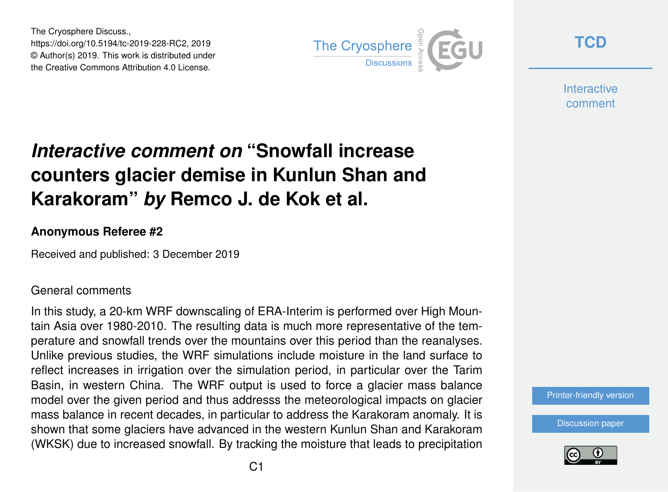The Cryosphere Discuss., https://doi.org/10.5194/tc-2019-228-RC2, 2019 © Author(s) 2019. This work is distributed under the Creative Commons Attribution 4.0 License.



**[TCD](https://www.the-cryosphere-discuss.net/)**

**Interactive** comment

# *Interactive comment on* **"Snowfall increase counters glacier demise in Kunlun Shan and Karakoram"** *by* **Remco J. de Kok et al.**

### **Anonymous Referee #2**

Received and published: 3 December 2019

#### General comments

In this study, a 20-km WRF downscaling of ERA-Interim is performed over High Mountain Asia over 1980-2010. The resulting data is much more representative of the temperature and snowfall trends over the mountains over this period than the reanalyses. Unlike previous studies, the WRF simulations include moisture in the land surface to reflect increases in irrigation over the simulation period, in particular over the Tarim Basin, in western China. The WRF output is used to force a glacier mass balance model over the given period and thus addresss the meteorological impacts on glacier mass balance in recent decades, in particular to address the Karakoram anomaly. It is shown that some glaciers have advanced in the western Kunlun Shan and Karakoram (WKSK) due to increased snowfall. By tracking the moisture that leads to precipitation

[Printer-friendly version](https://www.the-cryosphere-discuss.net/tc-2019-228/tc-2019-228-RC2-print.pdf)

[Discussion paper](https://www.the-cryosphere-discuss.net/tc-2019-228)

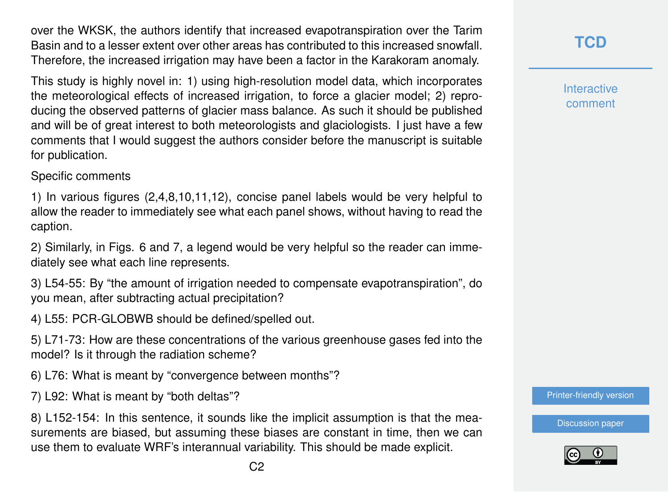over the WKSK, the authors identify that increased evapotranspiration over the Tarim Basin and to a lesser extent over other areas has contributed to this increased snowfall. Therefore, the increased irrigation may have been a factor in the Karakoram anomaly.

This study is highly novel in: 1) using high-resolution model data, which incorporates the meteorological effects of increased irrigation, to force a glacier model; 2) reproducing the observed patterns of glacier mass balance. As such it should be published and will be of great interest to both meteorologists and glaciologists. I just have a few comments that I would suggest the authors consider before the manuscript is suitable for publication.

#### Specific comments

1) In various figures (2,4,8,10,11,12), concise panel labels would be very helpful to allow the reader to immediately see what each panel shows, without having to read the caption.

2) Similarly, in Figs. 6 and 7, a legend would be very helpful so the reader can immediately see what each line represents.

3) L54-55: By "the amount of irrigation needed to compensate evapotranspiration", do you mean, after subtracting actual precipitation?

4) L55: PCR-GLOBWB should be defined/spelled out.

5) L71-73: How are these concentrations of the various greenhouse gases fed into the model? Is it through the radiation scheme?

6) L76: What is meant by "convergence between months"?

7) L92: What is meant by "both deltas"?

8) L152-154: In this sentence, it sounds like the implicit assumption is that the measurements are biased, but assuming these biases are constant in time, then we can use them to evaluate WRF's interannual variability. This should be made explicit.

**[TCD](https://www.the-cryosphere-discuss.net/)**

**Interactive** comment

[Printer-friendly version](https://www.the-cryosphere-discuss.net/tc-2019-228/tc-2019-228-RC2-print.pdf)

[Discussion paper](https://www.the-cryosphere-discuss.net/tc-2019-228)

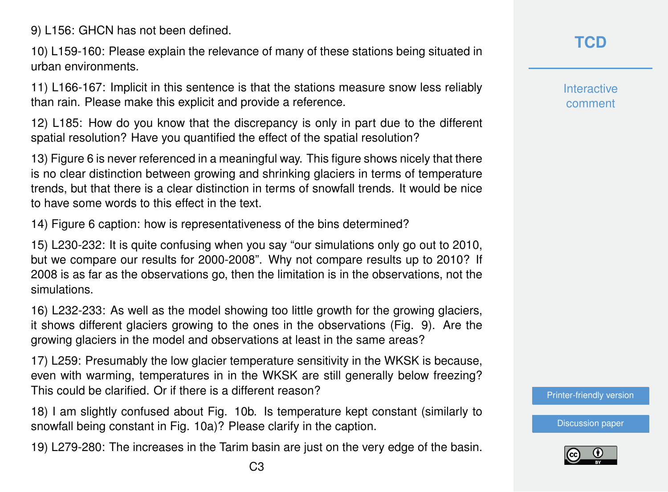9) L156: GHCN has not been defined.

10) L159-160: Please explain the relevance of many of these stations being situated in urban environments.

11) L166-167: Implicit in this sentence is that the stations measure snow less reliably than rain. Please make this explicit and provide a reference.

12) L185: How do you know that the discrepancy is only in part due to the different spatial resolution? Have you quantified the effect of the spatial resolution?

13) Figure 6 is never referenced in a meaningful way. This figure shows nicely that there is no clear distinction between growing and shrinking glaciers in terms of temperature trends, but that there is a clear distinction in terms of snowfall trends. It would be nice to have some words to this effect in the text.

14) Figure 6 caption: how is representativeness of the bins determined?

15) L230-232: It is quite confusing when you say "our simulations only go out to 2010, but we compare our results for 2000-2008". Why not compare results up to 2010? If 2008 is as far as the observations go, then the limitation is in the observations, not the simulations.

16) L232-233: As well as the model showing too little growth for the growing glaciers, it shows different glaciers growing to the ones in the observations (Fig. 9). Are the growing glaciers in the model and observations at least in the same areas?

17) L259: Presumably the low glacier temperature sensitivity in the WKSK is because, even with warming, temperatures in in the WKSK are still generally below freezing? This could be clarified. Or if there is a different reason?

18) I am slightly confused about Fig. 10b. Is temperature kept constant (similarly to snowfall being constant in Fig. 10a)? Please clarify in the caption.

19) L279-280: The increases in the Tarim basin are just on the very edge of the basin.

**Interactive** comment

[Printer-friendly version](https://www.the-cryosphere-discuss.net/tc-2019-228/tc-2019-228-RC2-print.pdf)

[Discussion paper](https://www.the-cryosphere-discuss.net/tc-2019-228)